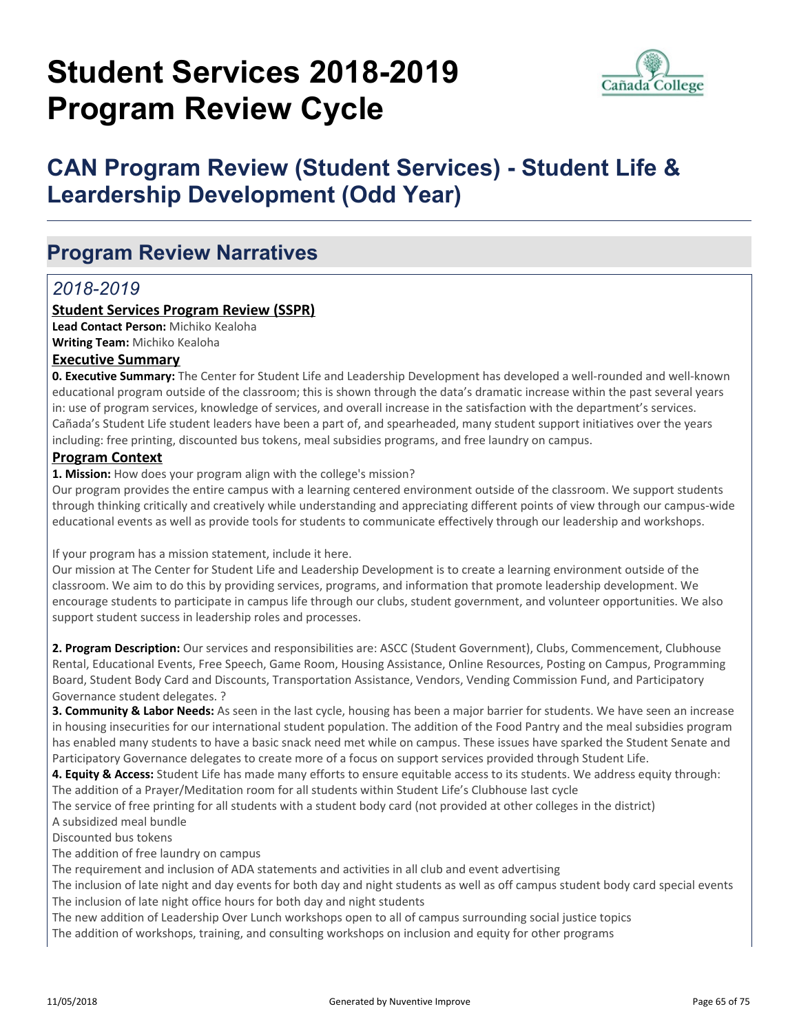# **Student Services 2018-2019 Program Review Cycle**



# **CAN Program Review (Student Services) - Student Life & Leardership Development (Odd Year)**

# **Program Review Narratives**

# *2018-2019*

#### **Student Services Program Review (SSPR)**

**Lead Contact Person:** Michiko Kealoha **Writing Team:** Michiko Kealoha

#### **Executive Summary**

**0. Executive Summary:** The Center for Student Life and Leadership Development has developed a well-rounded and well-known educational program outside of the classroom; this is shown through the data's dramatic increase within the past several years in: use of program services, knowledge of services, and overall increase in the satisfaction with the department's services. Cañada's Student Life student leaders have been a part of, and spearheaded, many student support initiatives over the years including: free printing, discounted bus tokens, meal subsidies programs, and free laundry on campus.

#### **Program Context**

**1. Mission:** How does your program align with the college's mission?

Our program provides the entire campus with a learning centered environment outside of the classroom. We support students through thinking critically and creatively while understanding and appreciating different points of view through our campus-wide educational events as well as provide tools for students to communicate effectively through our leadership and workshops.

If your program has a mission statement, include it here.

Our mission at The Center for Student Life and Leadership Development is to create a learning environment outside of the classroom. We aim to do this by providing services, programs, and information that promote leadership development. We encourage students to participate in campus life through our clubs, student government, and volunteer opportunities. We also support student success in leadership roles and processes.

**2. Program Description:** Our services and responsibilities are: ASCC (Student Government), Clubs, Commencement, Clubhouse Rental, Educational Events, Free Speech, Game Room, Housing Assistance, Online Resources, Posting on Campus, Programming Board, Student Body Card and Discounts, Transportation Assistance, Vendors, Vending Commission Fund, and Participatory Governance student delegates. ?

**3. Community & Labor Needs:** As seen in the last cycle, housing has been a major barrier for students. We have seen an increase in housing insecurities for our international student population. The addition of the Food Pantry and the meal subsidies program has enabled many students to have a basic snack need met while on campus. These issues have sparked the Student Senate and Participatory Governance delegates to create more of a focus on support services provided through Student Life.

**4. Equity & Access:** Student Life has made many efforts to ensure equitable access to its students. We address equity through: The addition of a Prayer/Meditation room for all students within Student Life's Clubhouse last cycle

The service of free printing for all students with a student body card (not provided at other colleges in the district) A subsidized meal bundle

Discounted bus tokens

The addition of free laundry on campus

The requirement and inclusion of ADA statements and activities in all club and event advertising

The inclusion of late night and day events for both day and night students as well as off campus student body card special events The inclusion of late night office hours for both day and night students

The new addition of Leadership Over Lunch workshops open to all of campus surrounding social justice topics

The addition of workshops, training, and consulting workshops on inclusion and equity for other programs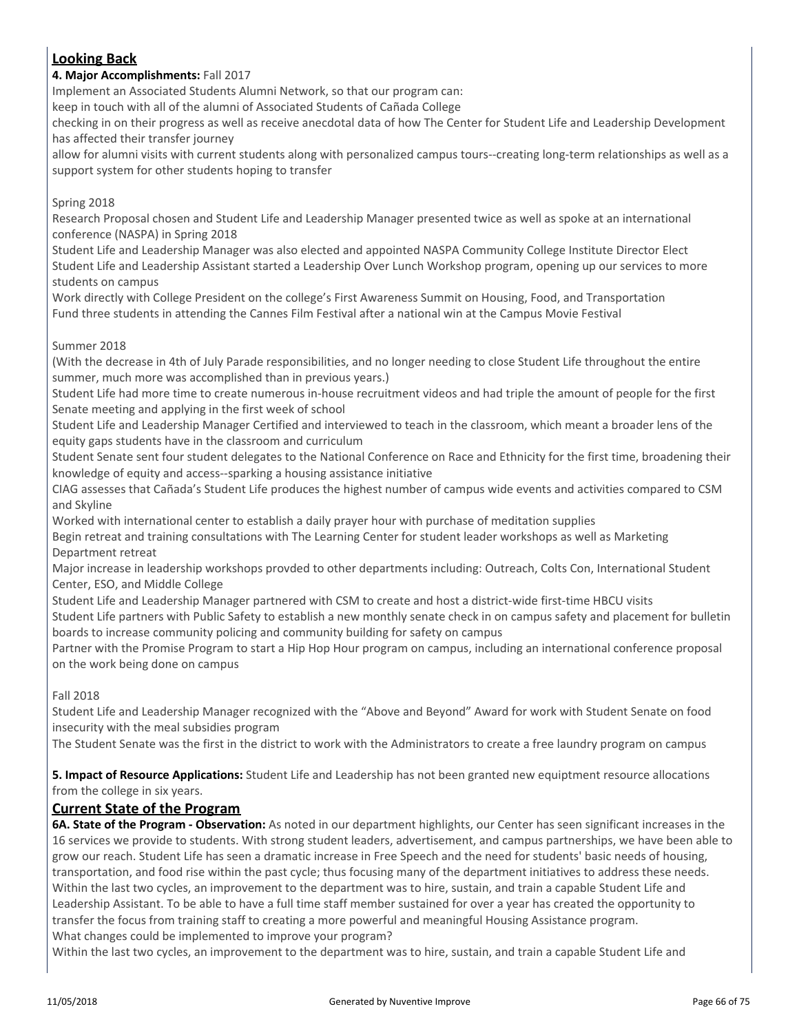### **Looking Back**

#### **4. Major Accomplishments:** Fall 2017

Implement an Associated Students Alumni Network, so that our program can:

keep in touch with all of the alumni of Associated Students of Cañada College

checking in on their progress as well as receive anecdotal data of how The Center for Student Life and Leadership Development has affected their transfer journey

allow for alumni visits with current students along with personalized campus tours--creating long-term relationships as well as a support system for other students hoping to transfer

#### Spring 2018

Research Proposal chosen and Student Life and Leadership Manager presented twice as well as spoke at an international conference (NASPA) in Spring 2018

Student Life and Leadership Manager was also elected and appointed NASPA Community College Institute Director Elect Student Life and Leadership Assistant started a Leadership Over Lunch Workshop program, opening up our services to more students on campus

Work directly with College President on the college's First Awareness Summit on Housing, Food, and Transportation Fund three students in attending the Cannes Film Festival after a national win at the Campus Movie Festival

#### Summer 2018

(With the decrease in 4th of July Parade responsibilities, and no longer needing to close Student Life throughout the entire summer, much more was accomplished than in previous years.)

Student Life had more time to create numerous in-house recruitment videos and had triple the amount of people for the first Senate meeting and applying in the first week of school

Student Life and Leadership Manager Certified and interviewed to teach in the classroom, which meant a broader lens of the equity gaps students have in the classroom and curriculum

Student Senate sent four student delegates to the National Conference on Race and Ethnicity for the first time, broadening their knowledge of equity and access--sparking a housing assistance initiative

CIAG assesses that Cañada's Student Life produces the highest number of campus wide events and activities compared to CSM and Skyline

Worked with international center to establish a daily prayer hour with purchase of meditation supplies

Begin retreat and training consultations with The Learning Center for student leader workshops as well as Marketing Department retreat

Major increase in leadership workshops provded to other departments including: Outreach, Colts Con, International Student Center, ESO, and Middle College

Student Life and Leadership Manager partnered with CSM to create and host a district-wide first-time HBCU visits Student Life partners with Public Safety to establish a new monthly senate check in on campus safety and placement for bulletin boards to increase community policing and community building for safety on campus

Partner with the Promise Program to start a Hip Hop Hour program on campus, including an international conference proposal on the work being done on campus

#### Fall 2018

Student Life and Leadership Manager recognized with the "Above and Beyond" Award for work with Student Senate on food insecurity with the meal subsidies program

The Student Senate was the first in the district to work with the Administrators to create a free laundry program on campus

**5. Impact of Resource Applications:** Student Life and Leadership has not been granted new equiptment resource allocations from the college in six years.

#### **Current State of the Program**

**6A. State of the Program - Observation:** As noted in our department highlights, our Center has seen significant increases in the 16 services we provide to students. With strong student leaders, advertisement, and campus partnerships, we have been able to grow our reach. Student Life has seen a dramatic increase in Free Speech and the need for students' basic needs of housing, transportation, and food rise within the past cycle; thus focusing many of the department initiatives to address these needs. Within the last two cycles, an improvement to the department was to hire, sustain, and train a capable Student Life and Leadership Assistant. To be able to have a full time staff member sustained for over a year has created the opportunity to transfer the focus from training staff to creating a more powerful and meaningful Housing Assistance program. What changes could be implemented to improve your program?

Within the last two cycles, an improvement to the department was to hire, sustain, and train a capable Student Life and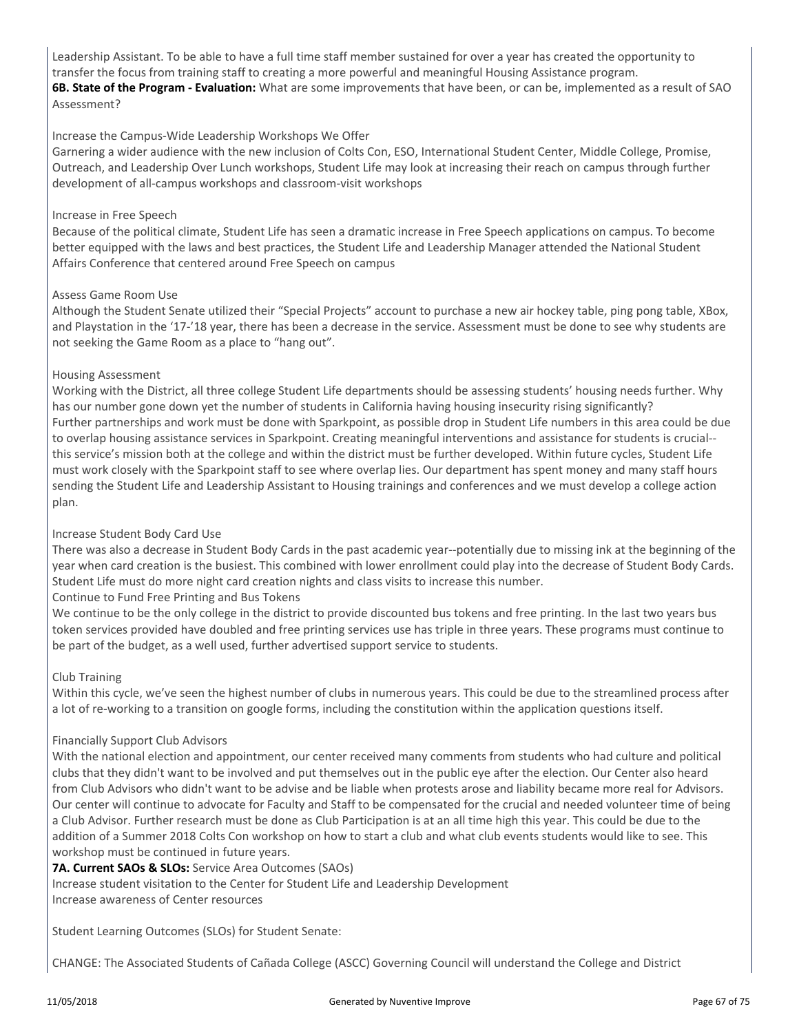Leadership Assistant. To be able to have a full time staff member sustained for over a year has created the opportunity to transfer the focus from training staff to creating a more powerful and meaningful Housing Assistance program. **6B. State of the Program - Evaluation:** What are some improvements that have been, or can be, implemented as a result of SAO Assessment?

#### Increase the Campus-Wide Leadership Workshops We Offer

Garnering a wider audience with the new inclusion of Colts Con, ESO, International Student Center, Middle College, Promise, Outreach, and Leadership Over Lunch workshops, Student Life may look at increasing their reach on campus through further development of all-campus workshops and classroom-visit workshops

#### Increase in Free Speech

Because of the political climate, Student Life has seen a dramatic increase in Free Speech applications on campus. To become better equipped with the laws and best practices, the Student Life and Leadership Manager attended the National Student Affairs Conference that centered around Free Speech on campus

#### Assess Game Room Use

Although the Student Senate utilized their "Special Projects" account to purchase a new air hockey table, ping pong table, XBox, and Playstation in the '17-'18 year, there has been a decrease in the service. Assessment must be done to see why students are not seeking the Game Room as a place to "hang out".

#### Housing Assessment

Working with the District, all three college Student Life departments should be assessing students' housing needs further. Why has our number gone down yet the number of students in California having housing insecurity rising significantly? Further partnerships and work must be done with Sparkpoint, as possible drop in Student Life numbers in this area could be due to overlap housing assistance services in Sparkpoint. Creating meaningful interventions and assistance for students is crucial- this service's mission both at the college and within the district must be further developed. Within future cycles, Student Life must work closely with the Sparkpoint staff to see where overlap lies. Our department has spent money and many staff hours sending the Student Life and Leadership Assistant to Housing trainings and conferences and we must develop a college action plan.

#### Increase Student Body Card Use

There was also a decrease in Student Body Cards in the past academic year--potentially due to missing ink at the beginning of the year when card creation is the busiest. This combined with lower enrollment could play into the decrease of Student Body Cards. Student Life must do more night card creation nights and class visits to increase this number.

Continue to Fund Free Printing and Bus Tokens

We continue to be the only college in the district to provide discounted bus tokens and free printing. In the last two years bus token services provided have doubled and free printing services use has triple in three years. These programs must continue to be part of the budget, as a well used, further advertised support service to students.

#### Club Training

Within this cycle, we've seen the highest number of clubs in numerous years. This could be due to the streamlined process after a lot of re-working to a transition on google forms, including the constitution within the application questions itself.

#### Financially Support Club Advisors

With the national election and appointment, our center received many comments from students who had culture and political clubs that they didn't want to be involved and put themselves out in the public eye after the election. Our Center also heard from Club Advisors who didn't want to be advise and be liable when protests arose and liability became more real for Advisors. Our center will continue to advocate for Faculty and Staff to be compensated for the crucial and needed volunteer time of being a Club Advisor. Further research must be done as Club Participation is at an all time high this year. This could be due to the addition of a Summer 2018 Colts Con workshop on how to start a club and what club events students would like to see. This workshop must be continued in future years.

**7A. Current SAOs & SLOs:** Service Area Outcomes (SAOs)

Increase student visitation to the Center for Student Life and Leadership Development Increase awareness of Center resources

Student Learning Outcomes (SLOs) for Student Senate:

CHANGE: The Associated Students of Cañada College (ASCC) Governing Council will understand the College and District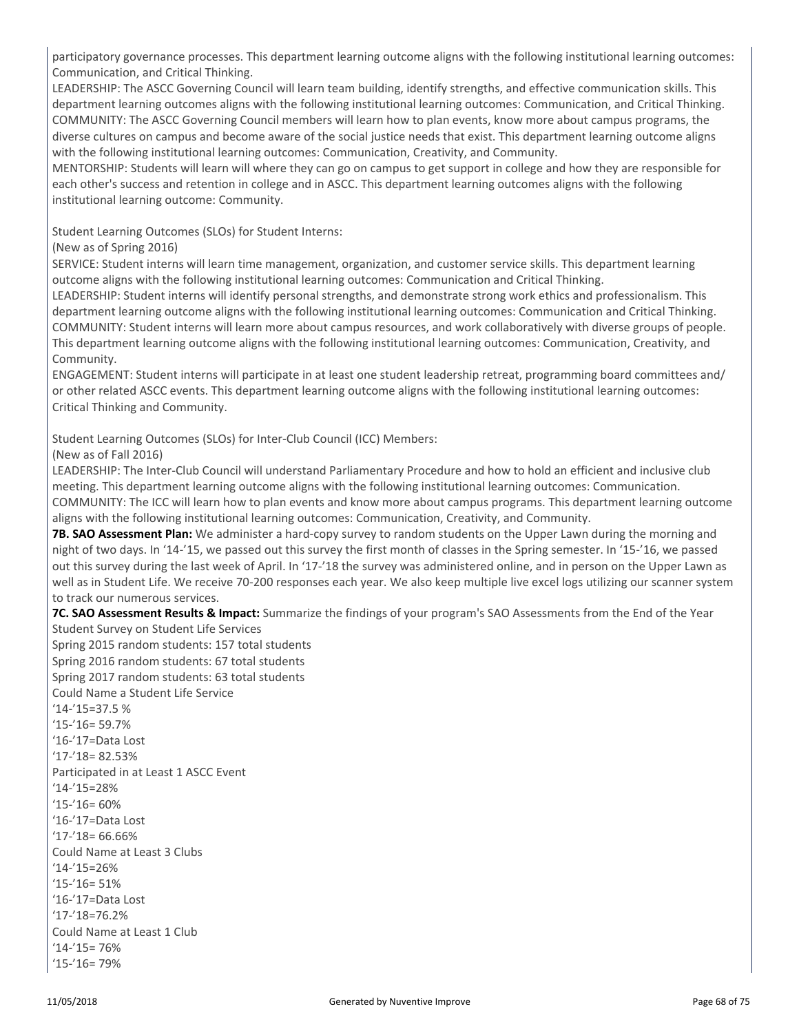participatory governance processes. This department learning outcome aligns with the following institutional learning outcomes: Communication, and Critical Thinking.

LEADERSHIP: The ASCC Governing Council will learn team building, identify strengths, and effective communication skills. This department learning outcomes aligns with the following institutional learning outcomes: Communication, and Critical Thinking. COMMUNITY: The ASCC Governing Council members will learn how to plan events, know more about campus programs, the diverse cultures on campus and become aware of the social justice needs that exist. This department learning outcome aligns with the following institutional learning outcomes: Communication, Creativity, and Community.

MENTORSHIP: Students will learn will where they can go on campus to get support in college and how they are responsible for each other's success and retention in college and in ASCC. This department learning outcomes aligns with the following institutional learning outcome: Community.

Student Learning Outcomes (SLOs) for Student Interns:

(New as of Spring 2016)

SERVICE: Student interns will learn time management, organization, and customer service skills. This department learning outcome aligns with the following institutional learning outcomes: Communication and Critical Thinking.

LEADERSHIP: Student interns will identify personal strengths, and demonstrate strong work ethics and professionalism. This department learning outcome aligns with the following institutional learning outcomes: Communication and Critical Thinking. COMMUNITY: Student interns will learn more about campus resources, and work collaboratively with diverse groups of people. This department learning outcome aligns with the following institutional learning outcomes: Communication, Creativity, and Community.

ENGAGEMENT: Student interns will participate in at least one student leadership retreat, programming board committees and/ or other related ASCC events. This department learning outcome aligns with the following institutional learning outcomes: Critical Thinking and Community.

Student Learning Outcomes (SLOs) for Inter-Club Council (ICC) Members:

(New as of Fall 2016)

LEADERSHIP: The Inter-Club Council will understand Parliamentary Procedure and how to hold an efficient and inclusive club meeting. This department learning outcome aligns with the following institutional learning outcomes: Communication. COMMUNITY: The ICC will learn how to plan events and know more about campus programs. This department learning outcome aligns with the following institutional learning outcomes: Communication, Creativity, and Community.

**7B. SAO Assessment Plan:** We administer a hard-copy survey to random students on the Upper Lawn during the morning and night of two days. In '14-'15, we passed out this survey the first month of classes in the Spring semester. In '15-'16, we passed out this survey during the last week of April. In '17-'18 the survey was administered online, and in person on the Upper Lawn as well as in Student Life. We receive 70-200 responses each year. We also keep multiple live excel logs utilizing our scanner system to track our numerous services.

**7C. SAO Assessment Results & Impact:** Summarize the findings of your program's SAO Assessments from the End of the Year

Student Survey on Student Life Services Spring 2015 random students: 157 total students Spring 2016 random students: 67 total students Spring 2017 random students: 63 total students Could Name a Student Life Service '14-'15=37.5 % '15-'16= 59.7% '16-'17=Data Lost '17-'18= 82.53% Participated in at Least 1 ASCC Event '14-'15=28% '15-'16= 60% '16-'17=Data Lost '17-'18= 66.66% Could Name at Least 3 Clubs '14-'15=26% '15-'16= 51% '16-'17=Data Lost '17-'18=76.2% Could Name at Least 1 Club '14-'15= 76% '15-'16= 79%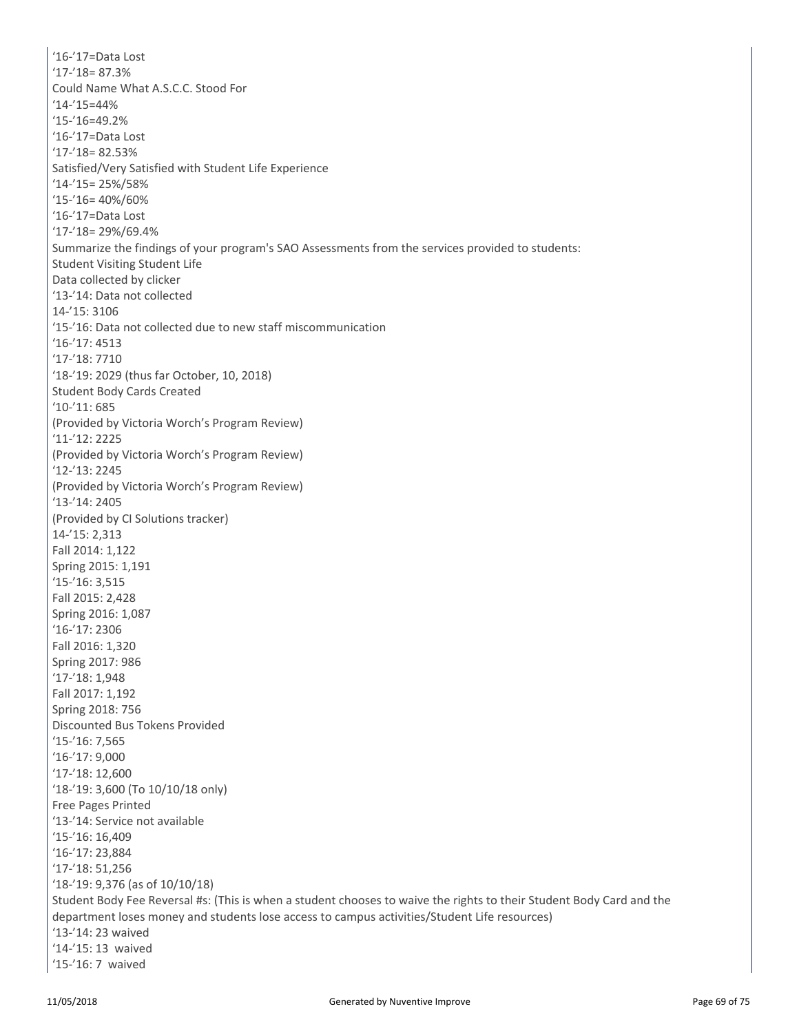'16-'17=Data Lost '17-'18= 87.3% Could Name What A.S.C.C. Stood For '14-'15=44% '15-'16=49.2% '16-'17=Data Lost '17-'18= 82.53% Satisfied/Very Satisfied with Student Life Experience '14-'15= 25%/58% '15-'16= 40%/60% '16-'17=Data Lost '17-'18= 29%/69.4% Summarize the findings of your program's SAO Assessments from the services provided to students: Student Visiting Student Life Data collected by clicker '13-'14: Data not collected 14-'15: 3106 '15-'16: Data not collected due to new staff miscommunication '16-'17: 4513 '17-'18: 7710 '18-'19: 2029 (thus far October, 10, 2018) Student Body Cards Created '10-'11: 685 (Provided by Victoria Worch's Program Review) '11-'12: 2225 (Provided by Victoria Worch's Program Review) '12-'13: 2245 (Provided by Victoria Worch's Program Review) '13-'14: 2405 (Provided by CI Solutions tracker) 14-'15: 2,313 Fall 2014: 1,122 Spring 2015: 1,191 '15-'16: 3,515 Fall 2015: 2,428 Spring 2016: 1,087 '16-'17: 2306 Fall 2016: 1,320 Spring 2017: 986 '17-'18: 1,948 Fall 2017: 1,192 Spring 2018: 756 Discounted Bus Tokens Provided '15-'16: 7,565 '16-'17: 9,000 '17-'18: 12,600 '18-'19: 3,600 (To 10/10/18 only) Free Pages Printed '13-'14: Service not available '15-'16: 16,409 '16-'17: 23,884 '17-'18: 51,256 '18-'19: 9,376 (as of 10/10/18) Student Body Fee Reversal #s: (This is when a student chooses to waive the rights to their Student Body Card and the department loses money and students lose access to campus activities/Student Life resources) '13-'14: 23 waived '14-'15: 13 waived '15-'16: 7 waived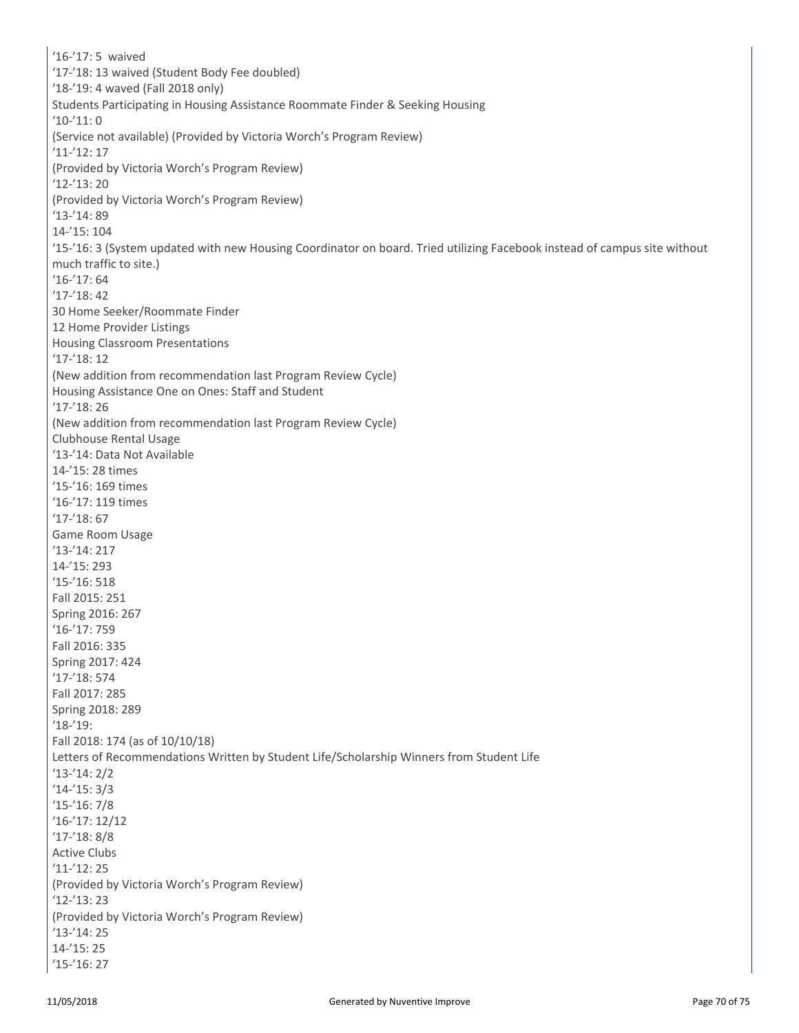'16-'17: 5 waived '17-'18: 13 waived (Student Body Fee doubled) '18-'19: 4 waved (Fall 2018 only) Students Participating in Housing Assistance Roommate Finder & Seeking Housing '10-'11: 0 (Service not available) (Provided by Victoria Worch's Program Review) '11-'12: 17 (Provided by Victoria Worch's Program Review) '12-'13: 20 (Provided by Victoria Worch's Program Review) '13-'14: 89 14-'15: 104 '15-'16: 3 (System updated with new Housing Coordinator on board. Tried utilizing Facebook instead of campus site without much traffic to site.) '16-'17: 64 '17-'18: 42 30 Home Seeker/Roommate Finder 12 Home Provider Listings Housing Classroom Presentations '17-'18: 12 (New addition from recommendation last Program Review Cycle) Housing Assistance One on Ones: Staff and Student '17-'18: 26 (New addition from recommendation last Program Review Cycle) Clubhouse Rental Usage '13-'14: Data Not Available 14-'15: 28 times '15-'16: 169 times '16-'17: 119 times '17-'18: 67 Game Room Usage '13-'14: 217 14-'15: 293 '15-'16: 518 Fall 2015: 251 Spring 2016: 267 '16-'17: 759 Fall 2016: 335 Spring 2017: 424 '17-'18: 574 Fall 2017: 285 Spring 2018: 289 '18-'19: Fall 2018: 174 (as of 10/10/18) Letters of Recommendations Written by Student Life/Scholarship Winners from Student Life '13-'14: 2/2 '14-'15: 3/3 '15-'16: 7/8 '16-'17: 12/12 '17-'18: 8/8 Active Clubs '11-'12: 25 (Provided by Victoria Worch's Program Review) '12-'13: 23 (Provided by Victoria Worch's Program Review) '13-'14: 25 14-'15: 25 '15-'16: 27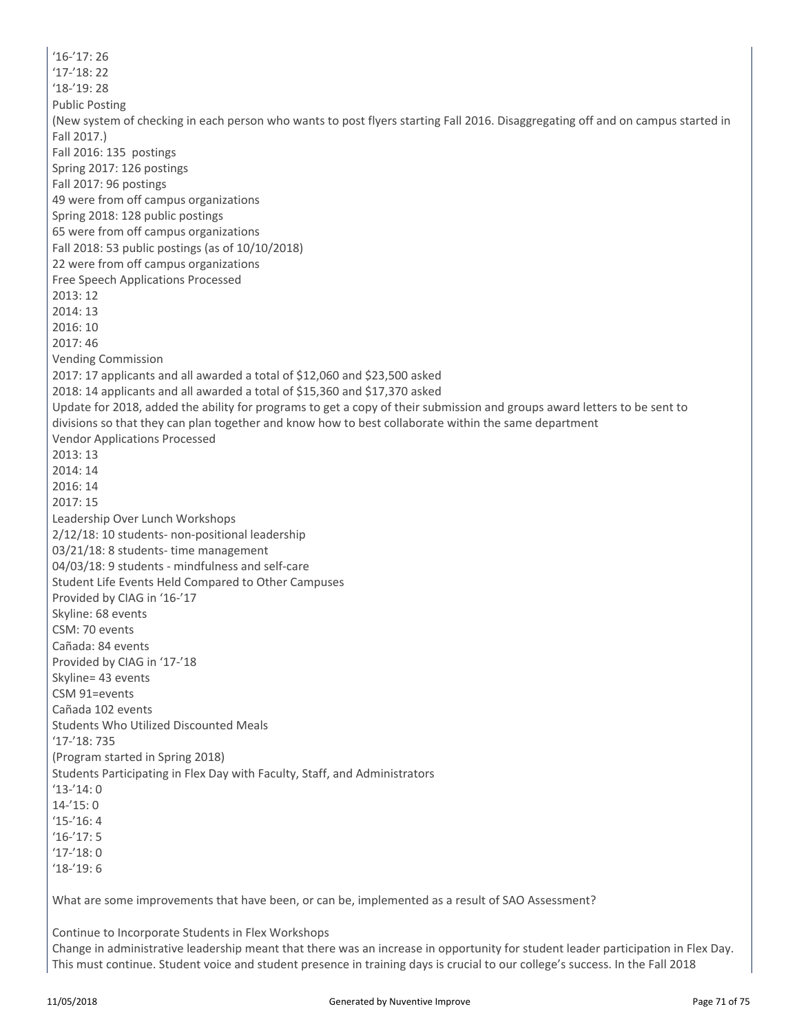$16 - 17.26$ '17-'18: 22 '18-'19: 28 Public Posting (New system of checking in each person who wants to post flyers starting Fall 2016. Disaggregating off and on campus started in Fall 2017.) Fall 2016: 135 postings Spring 2017: 126 postings Fall 2017: 96 postings 49 were from off campus organizations Spring 2018: 128 public postings 65 were from off campus organizations Fall 2018: 53 public postings (as of 10/10/2018) 22 were from off campus organizations Free Speech Applications Processed 2013: 12 2014: 13 2016: 10 2017: 46 Vending Commission 2017: 17 applicants and all awarded a total of \$12,060 and \$23,500 asked 2018: 14 applicants and all awarded a total of \$15,360 and \$17,370 asked Update for 2018, added the ability for programs to get a copy of their submission and groups award letters to be sent to divisions so that they can plan together and know how to best collaborate within the same department Vendor Applications Processed 2013: 13 2014: 14 2016: 14 2017: 15 Leadership Over Lunch Workshops 2/12/18: 10 students- non-positional leadership 03/21/18: 8 students- time management 04/03/18: 9 students - mindfulness and self-care Student Life Events Held Compared to Other Campuses Provided by CIAG in '16-'17 Skyline: 68 events CSM: 70 events Cañada: 84 events Provided by CIAG in '17-'18 Skyline= 43 events CSM 91=events Cañada 102 events Students Who Utilized Discounted Meals '17-'18: 735 (Program started in Spring 2018) Students Participating in Flex Day with Faculty, Staff, and Administrators '13-'14: 0 14-'15: 0 '15-'16: 4 '16-'17: 5 '17-'18: 0 '18-'19: 6 What are some improvements that have been, or can be, implemented as a result of SAO Assessment?

Continue to Incorporate Students in Flex Workshops Change in administrative leadership meant that there was an increase in opportunity for student leader participation in Flex Day. This must continue. Student voice and student presence in training days is crucial to our college's success. In the Fall 2018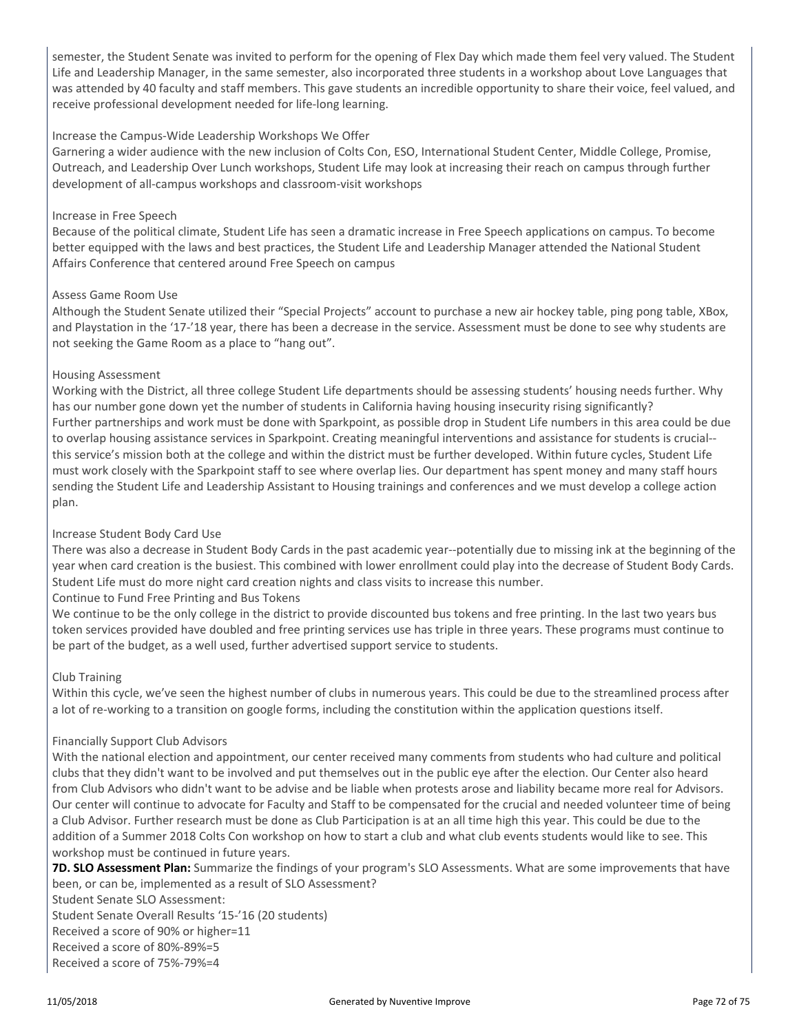semester, the Student Senate was invited to perform for the opening of Flex Day which made them feel very valued. The Student Life and Leadership Manager, in the same semester, also incorporated three students in a workshop about Love Languages that was attended by 40 faculty and staff members. This gave students an incredible opportunity to share their voice, feel valued, and receive professional development needed for life-long learning.

#### Increase the Campus-Wide Leadership Workshops We Offer

Garnering a wider audience with the new inclusion of Colts Con, ESO, International Student Center, Middle College, Promise, Outreach, and Leadership Over Lunch workshops, Student Life may look at increasing their reach on campus through further development of all-campus workshops and classroom-visit workshops

#### Increase in Free Speech

Because of the political climate, Student Life has seen a dramatic increase in Free Speech applications on campus. To become better equipped with the laws and best practices, the Student Life and Leadership Manager attended the National Student Affairs Conference that centered around Free Speech on campus

#### Assess Game Room Use

Although the Student Senate utilized their "Special Projects" account to purchase a new air hockey table, ping pong table, XBox, and Playstation in the '17-'18 year, there has been a decrease in the service. Assessment must be done to see why students are not seeking the Game Room as a place to "hang out".

#### Housing Assessment

Working with the District, all three college Student Life departments should be assessing students' housing needs further. Why has our number gone down yet the number of students in California having housing insecurity rising significantly? Further partnerships and work must be done with Sparkpoint, as possible drop in Student Life numbers in this area could be due to overlap housing assistance services in Sparkpoint. Creating meaningful interventions and assistance for students is crucial- this service's mission both at the college and within the district must be further developed. Within future cycles, Student Life must work closely with the Sparkpoint staff to see where overlap lies. Our department has spent money and many staff hours sending the Student Life and Leadership Assistant to Housing trainings and conferences and we must develop a college action plan.

#### Increase Student Body Card Use

There was also a decrease in Student Body Cards in the past academic year--potentially due to missing ink at the beginning of the year when card creation is the busiest. This combined with lower enrollment could play into the decrease of Student Body Cards. Student Life must do more night card creation nights and class visits to increase this number.

#### Continue to Fund Free Printing and Bus Tokens

We continue to be the only college in the district to provide discounted bus tokens and free printing. In the last two years bus token services provided have doubled and free printing services use has triple in three years. These programs must continue to be part of the budget, as a well used, further advertised support service to students.

#### Club Training

Within this cycle, we've seen the highest number of clubs in numerous years. This could be due to the streamlined process after a lot of re-working to a transition on google forms, including the constitution within the application questions itself.

#### Financially Support Club Advisors

With the national election and appointment, our center received many comments from students who had culture and political clubs that they didn't want to be involved and put themselves out in the public eye after the election. Our Center also heard from Club Advisors who didn't want to be advise and be liable when protests arose and liability became more real for Advisors. Our center will continue to advocate for Faculty and Staff to be compensated for the crucial and needed volunteer time of being a Club Advisor. Further research must be done as Club Participation is at an all time high this year. This could be due to the addition of a Summer 2018 Colts Con workshop on how to start a club and what club events students would like to see. This workshop must be continued in future years.

**7D. SLO Assessment Plan:** Summarize the findings of your program's SLO Assessments. What are some improvements that have been, or can be, implemented as a result of SLO Assessment?

Student Senate SLO Assessment: Student Senate Overall Results '15-'16 (20 students) Received a score of 90% or higher=11 Received a score of 80%-89%=5 Received a score of 75%-79%=4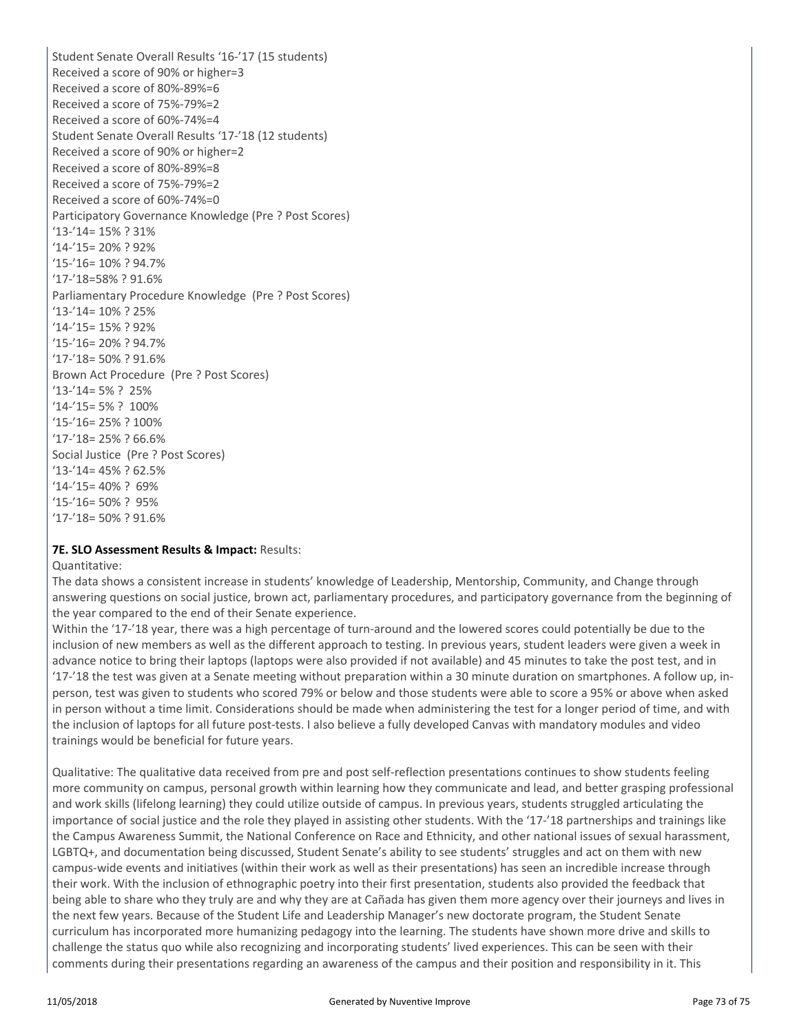Student Senate Overall Results '16-'17 (15 students) Received a score of 90% or higher=3 Received a score of 80%-89%=6 Received a score of 75%-79%=2 Received a score of 60%-74%=4 Student Senate Overall Results '17-'18 (12 students) Received a score of 90% or higher=2 Received a score of 80%-89%=8 Received a score of 75%-79%=2 Received a score of 60%-74%=0 Participatory Governance Knowledge (Pre ? Post Scores) '13-'14= 15% ? 31% '14-'15= 20% ? 92% '15-'16= 10% ? 94.7% '17-'18=58% ? 91.6% Parliamentary Procedure Knowledge (Pre ? Post Scores) '13-'14= 10% ? 25% '14-'15= 15% ? 92% '15-'16= 20% ? 94.7% '17-'18= 50% ? 91.6% Brown Act Procedure (Pre ? Post Scores) '13-'14= 5% ? 25% '14-'15= 5% ? 100% '15-'16= 25% ? 100% '17-'18= 25% ? 66.6% Social Justice (Pre ? Post Scores) '13-'14= 45% ? 62.5% '14-'15= 40% ? 69% '15-'16= 50% ? 95% '17-'18= 50% ? 91.6%

#### **7E. SLO Assessment Results & Impact:** Results:

Quantitative:

The data shows a consistent increase in students' knowledge of Leadership, Mentorship, Community, and Change through answering questions on social justice, brown act, parliamentary procedures, and participatory governance from the beginning of the year compared to the end of their Senate experience.

Within the '17-'18 year, there was a high percentage of turn-around and the lowered scores could potentially be due to the inclusion of new members as well as the different approach to testing. In previous years, student leaders were given a week in advance notice to bring their laptops (laptops were also provided if not available) and 45 minutes to take the post test, and in '17-'18 the test was given at a Senate meeting without preparation within a 30 minute duration on smartphones. A follow up, inperson, test was given to students who scored 79% or below and those students were able to score a 95% or above when asked in person without a time limit. Considerations should be made when administering the test for a longer period of time, and with the inclusion of laptops for all future post-tests. I also believe a fully developed Canvas with mandatory modules and video trainings would be beneficial for future years.

Qualitative: The qualitative data received from pre and post self-reflection presentations continues to show students feeling more community on campus, personal growth within learning how they communicate and lead, and better grasping professional and work skills (lifelong learning) they could utilize outside of campus. In previous years, students struggled articulating the importance of social justice and the role they played in assisting other students. With the '17-'18 partnerships and trainings like the Campus Awareness Summit, the National Conference on Race and Ethnicity, and other national issues of sexual harassment, LGBTQ+, and documentation being discussed, Student Senate's ability to see students' struggles and act on them with new campus-wide events and initiatives (within their work as well as their presentations) has seen an incredible increase through their work. With the inclusion of ethnographic poetry into their first presentation, students also provided the feedback that being able to share who they truly are and why they are at Cañada has given them more agency over their journeys and lives in the next few years. Because of the Student Life and Leadership Manager's new doctorate program, the Student Senate curriculum has incorporated more humanizing pedagogy into the learning. The students have shown more drive and skills to challenge the status quo while also recognizing and incorporating students' lived experiences. This can be seen with their comments during their presentations regarding an awareness of the campus and their position and responsibility in it. This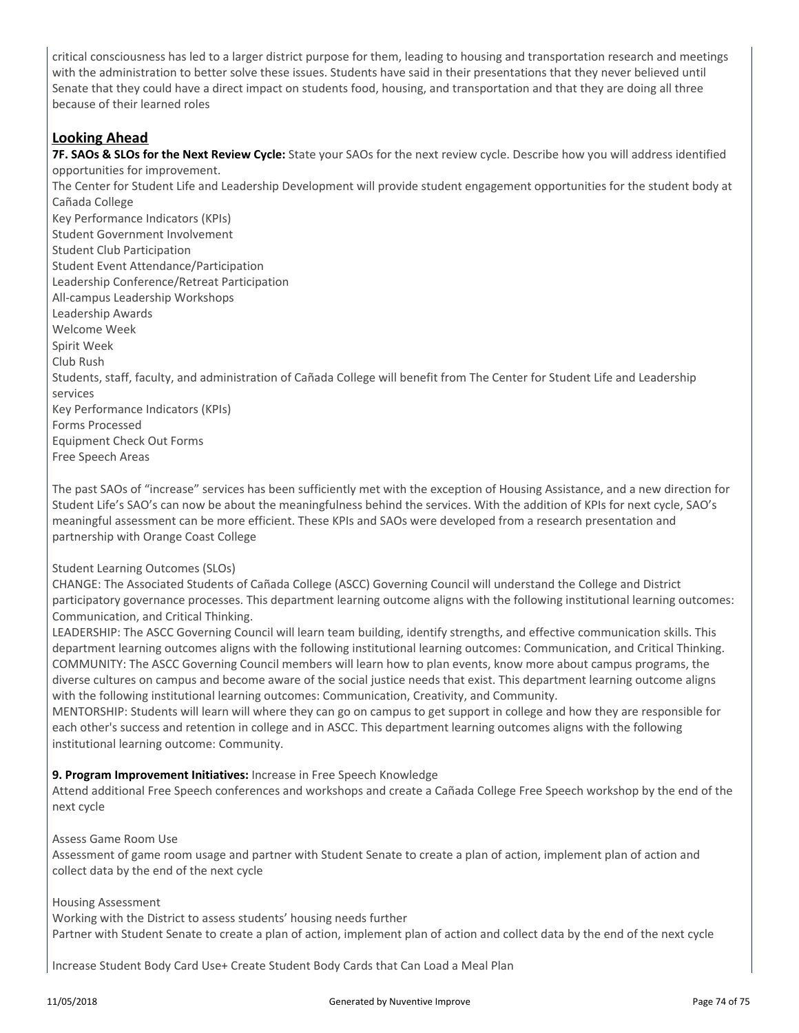critical consciousness has led to a larger district purpose for them, leading to housing and transportation research and meetings with the administration to better solve these issues. Students have said in their presentations that they never believed until Senate that they could have a direct impact on students food, housing, and transportation and that they are doing all three because of their learned roles

### **Looking Ahead**

Free Speech Areas

**7F. SAOs & SLOs for the Next Review Cycle:** State your SAOs for the next review cycle. Describe how you will address identified opportunities for improvement. The Center for Student Life and Leadership Development will provide student engagement opportunities for the student body at Cañada College Key Performance Indicators (KPIs) Student Government Involvement Student Club Participation Student Event Attendance/Participation Leadership Conference/Retreat Participation All-campus Leadership Workshops Leadership Awards Welcome Week Spirit Week Club Rush Students, staff, faculty, and administration of Cañada College will benefit from The Center for Student Life and Leadership services Key Performance Indicators (KPIs) Forms Processed Equipment Check Out Forms

The past SAOs of "increase" services has been sufficiently met with the exception of Housing Assistance, and a new direction for Student Life's SAO's can now be about the meaningfulness behind the services. With the addition of KPIs for next cycle, SAO's meaningful assessment can be more efficient. These KPIs and SAOs were developed from a research presentation and partnership with Orange Coast College

#### Student Learning Outcomes (SLOs)

CHANGE: The Associated Students of Cañada College (ASCC) Governing Council will understand the College and District participatory governance processes. This department learning outcome aligns with the following institutional learning outcomes: Communication, and Critical Thinking.

LEADERSHIP: The ASCC Governing Council will learn team building, identify strengths, and effective communication skills. This department learning outcomes aligns with the following institutional learning outcomes: Communication, and Critical Thinking. COMMUNITY: The ASCC Governing Council members will learn how to plan events, know more about campus programs, the diverse cultures on campus and become aware of the social justice needs that exist. This department learning outcome aligns with the following institutional learning outcomes: Communication, Creativity, and Community.

MENTORSHIP: Students will learn will where they can go on campus to get support in college and how they are responsible for each other's success and retention in college and in ASCC. This department learning outcomes aligns with the following institutional learning outcome: Community.

#### **9. Program Improvement Initiatives:** Increase in Free Speech Knowledge

Attend additional Free Speech conferences and workshops and create a Cañada College Free Speech workshop by the end of the next cycle

#### Assess Game Room Use

Assessment of game room usage and partner with Student Senate to create a plan of action, implement plan of action and collect data by the end of the next cycle

#### Housing Assessment

Working with the District to assess students' housing needs further Partner with Student Senate to create a plan of action, implement plan of action and collect data by the end of the next cycle

Increase Student Body Card Use+ Create Student Body Cards that Can Load a Meal Plan